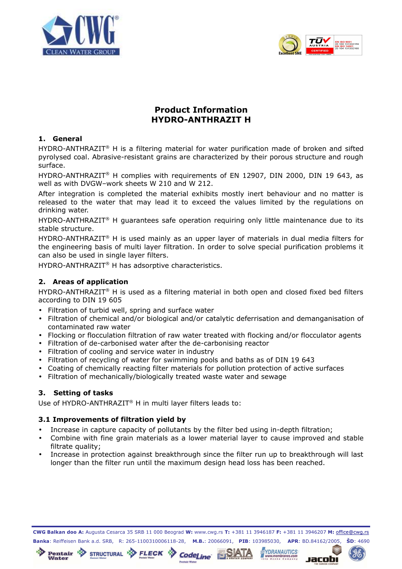



# **Product Information HYDRO-ANTHRAZIT H**

### **1. General**

HYDRO-ANTHRAZIT® H is a filtering material for water purification made of broken and sifted pyrolysed coal. Abrasive-resistant grains are characterized by their porous structure and rough surface.

HYDRO-ANTHRAZIT® H complies with requirements of EN 12907, DIN 2000, DIN 19 643, as well as with DVGW–work sheets W 210 and W 212.

After integration is completed the material exhibits mostly inert behaviour and no matter is released to the water that may lead it to exceed the values limited by the regulations on drinking water.

HYDRO-ANTHRAZIT<sup>®</sup> H quarantees safe operation requiring only little maintenance due to its stable structure.

HYDRO-ANTHRAZIT<sup>®</sup> H is used mainly as an upper layer of materials in dual media filters for the engineering basis of multi layer filtration. In order to solve special purification problems it can also be used in single layer filters.

HYDRO-ANTHRAZIT® H has adsorptive characteristics.

# **2. Areas of application**

HYDRO-ANTHRAZIT<sup>®</sup> H is used as a filtering material in both open and closed fixed bed filters according to DIN 19 605

- Filtration of turbid well, spring and surface water
- Filtration of chemical and/or biological and/or catalytic deferrisation and demanganisation of contaminated raw water
- Flocking or flocculation filtration of raw water treated with flocking and/or flocculator agents
- Filtration of de-carbonised water after the de-carbonising reactor
- Filtration of cooling and service water in industry
- Filtration of recycling of water for swimming pools and baths as of DIN 19 643
- Coating of chemically reacting filter materials for pollution protection of active surfaces
- Filtration of mechanically/biologically treated waste water and sewage

# **3. Setting of tasks**

Use of HYDRO-ANTHRAZIT® H in multi layer filters leads to:

# **3.1 Improvements of filtration yield by**

Pentair **Party STRUCTURAL PARTIE FLECK** 

Water

- Increase in capture capacity of pollutants by the filter bed using in-depth filtration;
- Combine with fine grain materials as a lower material layer to cause improved and stable filtrate quality;
- Increase in protection against breakthrough since the filter run up to breakthrough will last longer than the filter run until the maximum design head loss has been reached.

CWG Balkan doo A: Augusta Cesarca 35 SRB 11 000 Beograd W: www.cwg.rs T: +381 11 3946187 F: +381 11 3946207 M: office@cwg.rs Banka: Reiffeisen Bank a.d. SRB, R: 265-1100310006118-28, M.B.: 20066091, PIB: 103985030, APR: BD.84162/2005, ŠD: 4690

**CodeLine** 

**ND** 

**YDRANAUTICS** 

udopac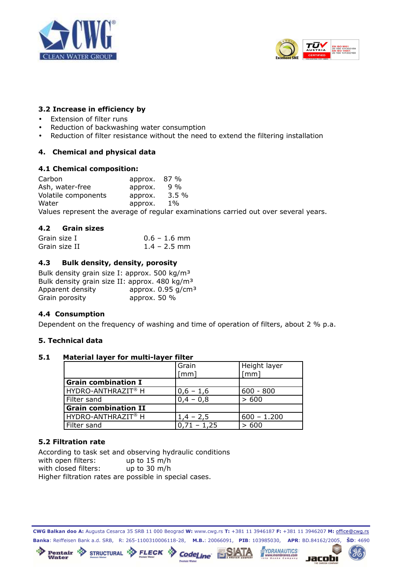



# **3.2 Increase in efficiency by**

- Extension of filter runs
- Reduction of backwashing water consumption
- Reduction of filter resistance without the need to extend the filtering installation

# **4. Chemical and physical data**

#### **4.1 Chemical composition:**

Carbon approx. 87 %<br>Ash. water-free approx. 9 % Ash, water-free approx. Volatile components approx. 3.5 % Water approx. 1% Values represent the average of regular examinations carried out over several years.

# **4.2 Grain sizes**

| Grain size I  | $0.6 - 1.6$ mm |
|---------------|----------------|
| Grain size II | $1.4 - 2.5$ mm |

### **4.3 Bulk density, density, porosity**

| Bulk density grain size I: approx. 500 kg/m <sup>3</sup>  |                                  |
|-----------------------------------------------------------|----------------------------------|
| Bulk density grain size II: approx. 480 kg/m <sup>3</sup> |                                  |
| Apparent density                                          | approx. $0.95$ g/cm <sup>3</sup> |
| Grain porosity                                            | approx. $50\%$                   |

# **4.4 Consumption**

Dependent on the frequency of washing and time of operation of filters, about 2 % p.a.

#### **5. Technical data**

#### **5.1 Material layer for multi-layer filter**

|                                | Grain              | Height layer  |
|--------------------------------|--------------------|---------------|
|                                | $\lceil mm \rceil$ | [mm]          |
| <b>Grain combination I</b>     |                    |               |
| HYDRO-ANTHRAZIT <sup>®</sup> H | $0,6 - 1,6$        | $600 - 800$   |
| Filter sand                    | $0,4 - 0,8$        | > 600         |
| <b>Grain combination II</b>    |                    |               |
| l HYDRO-ANTHRAZIT® H           | $1,4 - 2,5$        | $600 - 1.200$ |
| Filter sand                    | $0,71 - 1,25$      | > 600         |

# **5.2 Filtration rate**

\*13

According to task set and observing hydraulic conditions with open filters: up to 15 m/h with closed filters: up to 30 m/h Higher filtration rates are possible in special cases.

Pentair STRUCTURAL BELECK

CWG Balkan doo A: Augusta Cesarca 35 SRB 11 000 Beograd W: www.cwg.rs T: +381 11 3946187 F: +381 11 3946207 M: office@cwg.rs Banka: Reiffeisen Bank a.d. SRB, R: 265-1100310006118-28, M.B.: 20066091, PIB: 103985030, APR: BD.84162/2005, ŠD: 4690

**CodeLine** 

<u>FSATA</u>

**KB** 

**YDRANAUTICS** 

branes.com<br>company

Jacobi

℁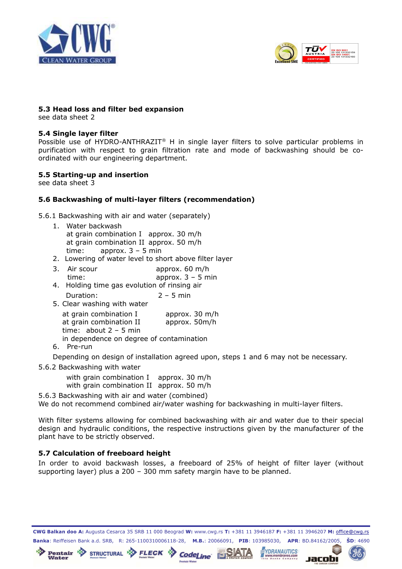



Jacobi

#### **5.3 Head loss and filter bed expansion**

see data sheet 2

#### **5.4 Single layer filter**

Possible use of HYDRO-ANTHRAZIT<sup>®</sup> H in single layer filters to solve particular problems in purification with respect to grain filtration rate and mode of backwashing should be coordinated with our engineering department.

#### **5.5 Starting-up and insertion**

see data sheet 3

### **5.6 Backwashing of multi-layer filters (recommendation)**

5.6.1 Backwashing with air and water (separately)

- 1. Water backwash at grain combination I approx. 30 m/h at grain combination II approx. 50 m/h time: approx. 3 – 5 min
- 2. Lowering of water level to short above filter layer
- 3. Air scour approx. 60 m/h time: approx. 3 – 5 min
- 4. Holding time gas evolution of rinsing air Duration:  $2 - 5$  min
- 5. Clear washing with water

| at grain combination I                   | approx. 30 m/h |  |
|------------------------------------------|----------------|--|
| at grain combination II                  | approx. 50m/h  |  |
| time: $about 2 - 5 min$                  |                |  |
| in dependence on degree of contamination |                |  |

6. Pre-run

Depending on design of installation agreed upon, steps 1 and 6 may not be necessary.

5.6.2 Backwashing with water

with grain combination I approx. 30 m/h with grain combination II approx. 50 m/h

Pentair & STRUCTURAL & FLECK CodeLine SATA

5.6.3 Backwashing with air and water (combined) We do not recommend combined air/water washing for backwashing in multi-layer filters.

With filter systems allowing for combined backwashing with air and water due to their special design and hydraulic conditions, the respective instructions given by the manufacturer of the plant have to be strictly observed.

# **5.7 Calculation of freeboard height**

In order to avoid backwash losses, a freeboard of 25% of height of filter layer (without supporting layer) plus a 200 – 300 mm safety margin have to be planned.

CWG Balkan doo A: Augusta Cesarca 35 SRB 11 000 Beograd W: www.cwg.rs T: +381 11 3946187 F: +381 11 3946207 M: office@cwg.rs Banka: Reiffeisen Bank a.d. SRB, R: 265-1100310006118-28, M.B.: 20066091, PIB: 103985030, APR: BD.84162/2005, ŠD: 4690<br>Pentair & STRUCTURAL & FLECK **Codel** in the SIATA WERANAUTICS